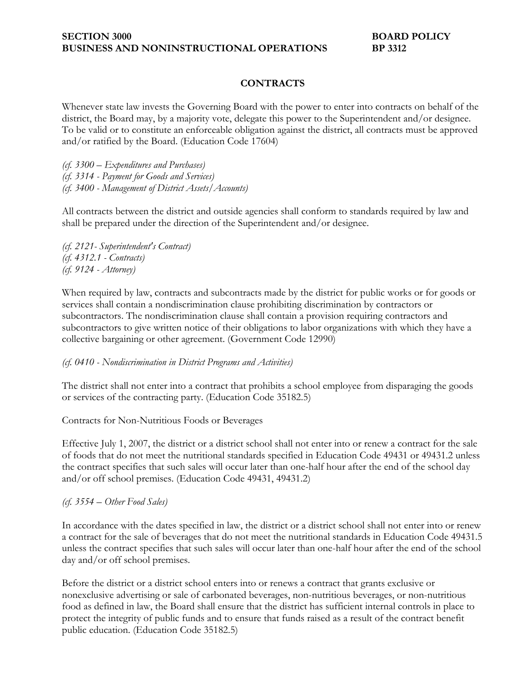# **CONTRACTS**

Whenever state law invests the Governing Board with the power to enter into contracts on behalf of the district, the Board may, by a majority vote, delegate this power to the Superintendent and/or designee. To be valid or to constitute an enforceable obligation against the district, all contracts must be approved and/or ratified by the Board. (Education Code 17604)

*(cf. 3300 – Expenditures and Purchases) (cf. 3314 - Payment for Goods and Services) (cf. 3400 - Management of District Assets/Accounts)* 

All contracts between the district and outside agencies shall conform to standards required by law and shall be prepared under the direction of the Superintendent and/or designee.

*(cf. 2121- Superintendent's Contract) (cf. 4312.1 - Contracts) (cf. 9124 - Attorney)* 

When required by law, contracts and subcontracts made by the district for public works or for goods or services shall contain a nondiscrimination clause prohibiting discrimination by contractors or subcontractors. The nondiscrimination clause shall contain a provision requiring contractors and subcontractors to give written notice of their obligations to labor organizations with which they have a collective bargaining or other agreement. (Government Code 12990)

### *(cf. 0410 - Nondiscrimination in District Programs and Activities)*

The district shall not enter into a contract that prohibits a school employee from disparaging the goods or services of the contracting party. (Education Code 35182.5)

### Contracts for Non-Nutritious Foods or Beverages

Effective July 1, 2007, the district or a district school shall not enter into or renew a contract for the sale of foods that do not meet the nutritional standards specified in Education Code 49431 or 49431.2 unless the contract specifies that such sales will occur later than one-half hour after the end of the school day and/or off school premises. (Education Code 49431, 49431.2)

### *(cf. 3554 – Other Food Sales)*

In accordance with the dates specified in law, the district or a district school shall not enter into or renew a contract for the sale of beverages that do not meet the nutritional standards in Education Code 49431.5 unless the contract specifies that such sales will occur later than one-half hour after the end of the school day and/or off school premises.

Before the district or a district school enters into or renews a contract that grants exclusive or nonexclusive advertising or sale of carbonated beverages, non-nutritious beverages, or non-nutritious food as defined in law, the Board shall ensure that the district has sufficient internal controls in place to protect the integrity of public funds and to ensure that funds raised as a result of the contract benefit public education. (Education Code 35182.5)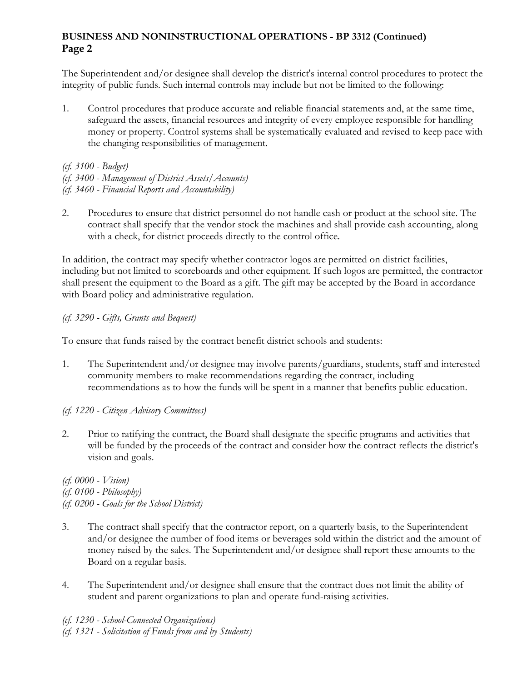# **BUSINESS AND NONINSTRUCTIONAL OPERATIONS - BP 3312 (Continued) Page 2**

The Superintendent and/or designee shall develop the district's internal control procedures to protect the integrity of public funds. Such internal controls may include but not be limited to the following:

1. Control procedures that produce accurate and reliable financial statements and, at the same time, safeguard the assets, financial resources and integrity of every employee responsible for handling money or property. Control systems shall be systematically evaluated and revised to keep pace with the changing responsibilities of management.

*(cf. 3100 - Budget)* 

*(cf. 3400 - Management of District Assets/Accounts)* 

*(cf. 3460 - Financial Reports and Accountability)* 

2. Procedures to ensure that district personnel do not handle cash or product at the school site. The contract shall specify that the vendor stock the machines and shall provide cash accounting, along with a check, for district proceeds directly to the control office.

In addition, the contract may specify whether contractor logos are permitted on district facilities, including but not limited to scoreboards and other equipment. If such logos are permitted, the contractor shall present the equipment to the Board as a gift. The gift may be accepted by the Board in accordance with Board policy and administrative regulation.

# *(cf. 3290 - Gifts, Grants and Bequest)*

To ensure that funds raised by the contract benefit district schools and students:

1. The Superintendent and/or designee may involve parents/guardians, students, staff and interested community members to make recommendations regarding the contract, including recommendations as to how the funds will be spent in a manner that benefits public education.

# *(cf. 1220 - Citizen Advisory Committees)*

2. Prior to ratifying the contract, the Board shall designate the specific programs and activities that will be funded by the proceeds of the contract and consider how the contract reflects the district's vision and goals.

*(cf. 0000 - Vision) (cf. 0100 - Philosophy) (cf. 0200 - Goals for the School District)* 

- 3. The contract shall specify that the contractor report, on a quarterly basis, to the Superintendent and/or designee the number of food items or beverages sold within the district and the amount of money raised by the sales. The Superintendent and/or designee shall report these amounts to the Board on a regular basis.
- 4. The Superintendent and/or designee shall ensure that the contract does not limit the ability of student and parent organizations to plan and operate fund-raising activities.

*(cf. 1230 - School-Connected Organizations) (cf. 1321 - Solicitation of Funds from and by Students)*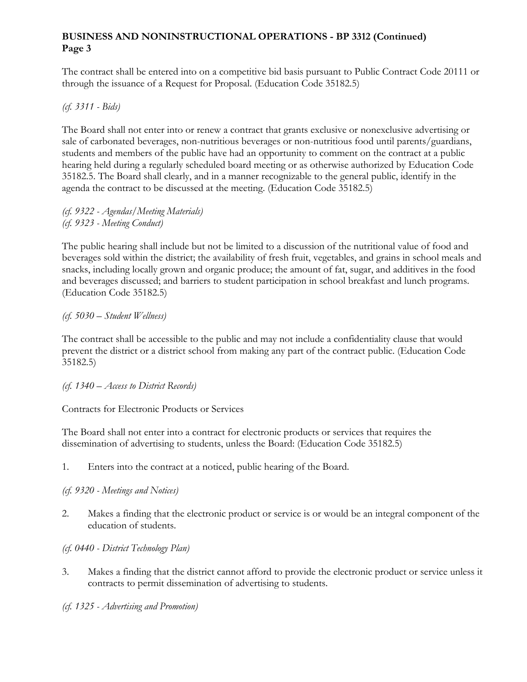### **BUSINESS AND NONINSTRUCTIONAL OPERATIONS - BP 3312 (Continued) Page 3**

The contract shall be entered into on a competitive bid basis pursuant to Public Contract Code 20111 or through the issuance of a Request for Proposal. (Education Code 35182.5)

### *(cf. 3311 - Bids)*

The Board shall not enter into or renew a contract that grants exclusive or nonexclusive advertising or sale of carbonated beverages, non-nutritious beverages or non-nutritious food until parents/guardians, students and members of the public have had an opportunity to comment on the contract at a public hearing held during a regularly scheduled board meeting or as otherwise authorized by Education Code 35182.5. The Board shall clearly, and in a manner recognizable to the general public, identify in the agenda the contract to be discussed at the meeting. (Education Code 35182.5)

*(cf. 9322 - Agendas/Meeting Materials) (cf. 9323 - Meeting Conduct)* 

The public hearing shall include but not be limited to a discussion of the nutritional value of food and beverages sold within the district; the availability of fresh fruit, vegetables, and grains in school meals and snacks, including locally grown and organic produce; the amount of fat, sugar, and additives in the food and beverages discussed; and barriers to student participation in school breakfast and lunch programs. (Education Code 35182.5)

### *(cf. 5030 – Student Wellness)*

The contract shall be accessible to the public and may not include a confidentiality clause that would prevent the district or a district school from making any part of the contract public. (Education Code 35182.5)

*(cf. 1340 – Access to District Records)*

Contracts for Electronic Products or Services

The Board shall not enter into a contract for electronic products or services that requires the dissemination of advertising to students, unless the Board: (Education Code 35182.5)

1. Enters into the contract at a noticed, public hearing of the Board.

*(cf. 9320 - Meetings and Notices)* 

2. Makes a finding that the electronic product or service is or would be an integral component of the education of students.

*(cf. 0440 - District Technology Plan)* 

- 3. Makes a finding that the district cannot afford to provide the electronic product or service unless it contracts to permit dissemination of advertising to students.
- *(cf. 1325 Advertising and Promotion)*